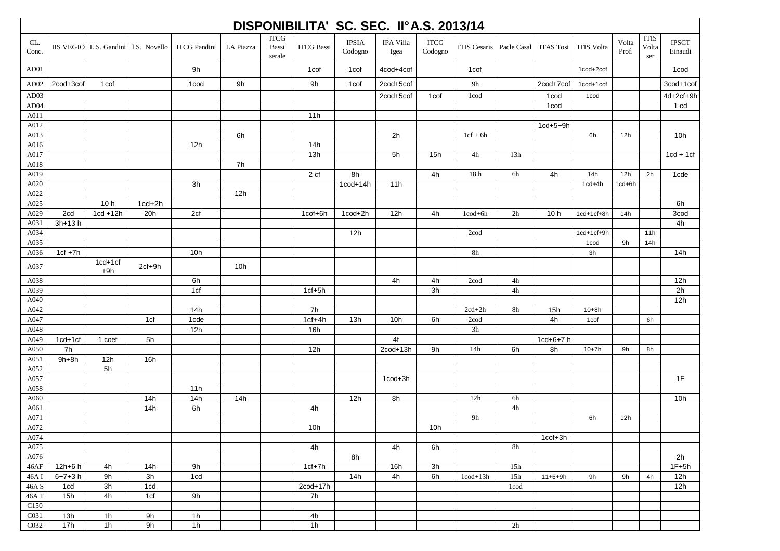| DISPONIBILITA' SC. SEC. II°A.S. 2013/14 |               |                    |                                     |                     |           |                                |                   |                         |                   |                        |                                 |               |                  |                               |                |                             |                         |
|-----------------------------------------|---------------|--------------------|-------------------------------------|---------------------|-----------|--------------------------------|-------------------|-------------------------|-------------------|------------------------|---------------------------------|---------------|------------------|-------------------------------|----------------|-----------------------------|-------------------------|
| CL.<br>Conc.                            |               |                    | IIS VEGIO L.S. Gandini 1.S. Novello | <b>ITCG Pandini</b> | LA Piazza | <b>ITCG</b><br>Bassi<br>serale | <b>ITCG Bassi</b> | <b>IPSIA</b><br>Codogno | IPA Villa<br>Igea | <b>ITCG</b><br>Codogno | <b>ITIS Cesaris</b> Pacle Casal |               | <b>ITAS Tosi</b> | <b>ITIS Volta</b>             | Volta<br>Prof. | <b>ITIS</b><br>Volta<br>ser | <b>IPSCT</b><br>Einaudi |
| AD01                                    |               |                    |                                     | 9h                  |           |                                | 1 <sub>cof</sub>  | 1cof                    | 4cod+4cof         |                        | 1 cof                           |               |                  | 1cod+2cof                     |                |                             | 1 <sub>cod</sub>        |
| AD <sub>02</sub>                        | 2cod+3cof     | 1 <sub>cof</sub>   |                                     | 1 <sub>cod</sub>    | 9h        |                                | 9h                | 1 <sub>cof</sub>        | 2cod+5cof         |                        | 9h                              |               | 2cod+7cof        | $1 \text{cod} + 1 \text{cof}$ |                |                             | 3cod+1cof               |
| AD03                                    |               |                    |                                     |                     |           |                                |                   |                         | 2cod+5cof         | 1 <sub>cof</sub>       | 1cod                            |               | 1cod             | 1cod                          |                |                             | 4d+2cf+9h               |
| AD04                                    |               |                    |                                     |                     |           |                                |                   |                         |                   |                        |                                 |               | 1 <sub>cod</sub> |                               |                |                             | 1 cd                    |
| A011                                    |               |                    |                                     |                     |           |                                | 11h               |                         |                   |                        |                                 |               |                  |                               |                |                             |                         |
| A012                                    |               |                    |                                     |                     |           |                                |                   |                         |                   |                        |                                 |               | $1cd+5+9h$       |                               |                |                             |                         |
| A013                                    |               |                    |                                     |                     | 6h        |                                |                   |                         | 2h                |                        | $1cf + 6h$                      |               |                  | 6h                            | 12h            |                             | 10h                     |
| A016                                    |               |                    |                                     | 12h                 |           |                                | 14h               |                         |                   |                        |                                 |               |                  |                               |                |                             |                         |
| A017                                    |               |                    |                                     |                     |           |                                | 13h               |                         | 5h                | 15h                    | $4\mathrm{h}$                   | 13h           |                  |                               |                |                             | $1cd + 1cf$             |
| A018                                    |               |                    |                                     |                     | 7h        |                                |                   |                         |                   |                        |                                 |               |                  |                               |                |                             |                         |
| A019                                    |               |                    |                                     |                     |           |                                | 2 cf              | 8h                      |                   | 4h                     | $18\,\ensuremath{\text{h}}$     | 6h            | 4h               | 14h                           | 12h            | 2h                          | 1cde                    |
| A020                                    |               |                    |                                     | 3h                  |           |                                |                   | $1 \text{cod} + 14h$    | 11h               |                        |                                 |               |                  | $1cd+4h$                      | $1cd+6h$       |                             |                         |
| A022                                    |               |                    |                                     |                     | 12h       |                                |                   |                         |                   |                        |                                 |               |                  |                               |                |                             |                         |
| A025                                    |               | 10 <sub>h</sub>    | $1cd+2h$                            |                     |           |                                |                   |                         |                   |                        |                                 |               |                  |                               |                |                             | 6h                      |
| A029                                    | 2cd           | $1cd + 12h$        | 20h                                 | 2cf                 |           |                                | 1cof+6h           | 1cod+2h                 | 12h               | 4h                     | $1\text{cod} + 6h$              | 2h            | 10h              | 1cd+1cf+8h                    | 14h            |                             | 3cod                    |
| A031                                    | $3h+13h$      |                    |                                     |                     |           |                                |                   |                         |                   |                        |                                 |               |                  |                               |                |                             | 4h                      |
| A034                                    |               |                    |                                     |                     |           |                                |                   | 12h                     |                   |                        | 2cod                            |               |                  | $1cd+1cf+9h$                  |                | 11h                         |                         |
| A035                                    |               |                    |                                     |                     |           |                                |                   |                         |                   |                        |                                 |               |                  | 1 <sub>cod</sub>              | 9h             | 14h                         |                         |
| A036                                    | $1cf + 7h$    |                    |                                     | 10h                 |           |                                |                   |                         |                   |                        | 8h                              |               |                  | 3h                            |                |                             | 14h                     |
| A037                                    |               | $1cd+1cf$<br>$+9h$ | $2cf+9h$                            |                     | 10h       |                                |                   |                         |                   |                        |                                 |               |                  |                               |                |                             |                         |
| A038                                    |               |                    |                                     | 6h                  |           |                                |                   |                         | 4h                | 4h                     | 2cod                            | 4h            |                  |                               |                |                             | 12h                     |
| A039                                    |               |                    |                                     | 1cf                 |           |                                | $1cf+5h$          |                         |                   | 3h                     |                                 | 4h            |                  |                               |                |                             | 2h                      |
| A040                                    |               |                    |                                     |                     |           |                                |                   |                         |                   |                        |                                 |               |                  |                               |                |                             | 12h                     |
| A042                                    |               |                    |                                     | 14h                 |           |                                | 7h                |                         |                   |                        | $2cd+2h$                        | 8h            | 15h              | $10 + 8h$                     |                |                             |                         |
| A047                                    |               |                    | 1cf                                 | 1cde                |           |                                | $1cf+4h$          | 13h                     | 10 <sub>h</sub>   | 6h                     | 2cod                            |               | 4h               | 1 <sub>cof</sub>              |                | 6h                          |                         |
| A048                                    |               |                    |                                     | 12h                 |           |                                | 16h               |                         |                   |                        | 3h                              |               |                  |                               |                |                             |                         |
| A049                                    | $1cd+1cf$     | 1 coef             | 5h                                  |                     |           |                                |                   |                         | 4f                |                        |                                 |               | $1cd+6+7h$       |                               |                |                             |                         |
| A050<br>A051                            | 7h<br>$9h+8h$ | 12h                | 16h                                 |                     |           |                                | 12h               |                         | $2\text{cod}+13h$ | 9h                     | 14h                             | 6h            | 8h               | $10 + 7h$                     | 9h             | 8h                          |                         |
| A052                                    |               | 5h                 |                                     |                     |           |                                |                   |                         |                   |                        |                                 |               |                  |                               |                |                             |                         |
| A057                                    |               |                    |                                     |                     |           |                                |                   |                         | 1cod+3h           |                        |                                 |               |                  |                               |                |                             | 1F                      |
| A058                                    |               |                    |                                     | 11h                 |           |                                |                   |                         |                   |                        |                                 |               |                  |                               |                |                             |                         |
| A060                                    |               |                    | 14h                                 | 14h                 | 14h       |                                |                   | 12h                     | 8h                |                        | 12h                             | 6h            |                  |                               |                |                             | 10h                     |
| A061                                    |               |                    | 14h                                 | 6h                  |           |                                | 4h                |                         |                   |                        |                                 | 4h            |                  |                               |                |                             |                         |
| A071                                    |               |                    |                                     |                     |           |                                |                   |                         |                   |                        | 9h                              |               |                  | 6h                            | 12h            |                             |                         |
| A072                                    |               |                    |                                     |                     |           |                                | 10h               |                         |                   | 10h                    |                                 |               |                  |                               |                |                             |                         |
| A074                                    |               |                    |                                     |                     |           |                                |                   |                         |                   |                        |                                 |               | 1cof+3h          |                               |                |                             |                         |
| A075                                    |               |                    |                                     |                     |           |                                | 4h                |                         | 4h                | 6h                     |                                 | $8\mathrm{h}$ |                  |                               |                |                             |                         |
| A076                                    |               |                    |                                     |                     |           |                                |                   | 8h                      |                   |                        |                                 |               |                  |                               |                |                             | 2h                      |
| 46AF                                    | 12h+6 h       | 4h                 | 14h                                 | 9h                  |           |                                | $1cf+7h$          |                         | 16h               | 3h                     |                                 | 15h           |                  |                               |                |                             | $1F+5h$                 |
| 46A I                                   | $6 + 7 + 3 h$ | 9h                 | 3h                                  | 1cd                 |           |                                |                   | 14h                     | 4h                | 6h                     | $1\text{cod}+13h$               | 15h           | $11+6+9h$        | 9h                            | 9h             | 4h                          | 12h                     |
| $46A\overline{S}$                       | 1cd           | 3h                 | 1cd                                 |                     |           |                                | 2cod+17h          |                         |                   |                        |                                 | 1cod          |                  |                               |                |                             | 12h                     |
| 46AT                                    | 15h           | 4h                 | 1cf                                 | 9h                  |           |                                | 7h                |                         |                   |                        |                                 |               |                  |                               |                |                             |                         |
| C <sub>150</sub>                        |               |                    |                                     |                     |           |                                |                   |                         |                   |                        |                                 |               |                  |                               |                |                             |                         |
| C031                                    | 13h           | 1h                 | 9h                                  | 1 <sub>h</sub>      |           |                                | 4h                |                         |                   |                        |                                 |               |                  |                               |                |                             |                         |
| C032                                    | 17h           | 1 <sub>h</sub>     | 9h                                  | $\overline{1h}$     |           |                                | 1h                |                         |                   |                        |                                 | 2h            |                  |                               |                |                             |                         |